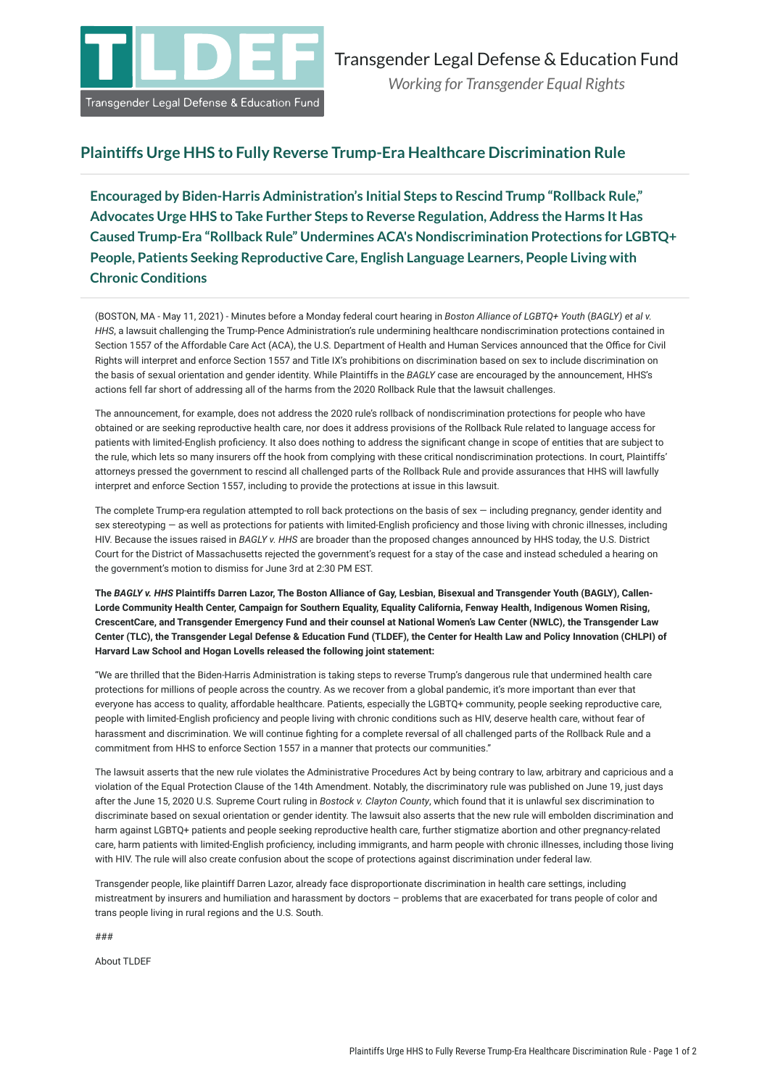

## **Plaintiffs Urge HHS to Fully Reverse Trump-Era Healthcare Discrimination Rule**

**Encouraged by Biden-Harris Administration's Initial Steps to Rescind Trump "Rollback Rule," Advocates Urge HHS to Take Further Steps to Reverse Regulation, Address the Harms It Has Caused Trump-Era "Rollback Rule" Undermines ACA's Nondiscrimination Protections for LGBTQ+ People, Patients Seeking Reproductive Care, English Language Learners, People Living with Chronic Conditions**

(BOSTON, MA - May 11, 2021) - Minutes before a Monday federal court hearing in *Boston Alliance of LGBTQ+ Youth* (*BAGLY) et al v. HHS*, a lawsuit challenging the Trump-Pence Administration's rule undermining healthcare nondiscrimination protections contained in Section 1557 of the Affordable Care Act (ACA), the U.S. Department of Health and Human Services announced that the Office for Civil Rights will interpret and enforce Section 1557 and Title IX's prohibitions on discrimination based on sex to include discrimination on the basis of sexual orientation and gender identity. While Plaintiffs in the *BAGLY* case are encouraged by the announcement, HHS's actions fell far short of addressing all of the harms from the 2020 Rollback Rule that the lawsuit challenges.

The announcement, for example, does not address the 2020 rule's rollback of nondiscrimination protections for people who have obtained or are seeking reproductive health care, nor does it address provisions of the Rollback Rule related to language access for patients with limited-English proficiency. It also does nothing to address the significant change in scope of entities that are subject to the rule, which lets so many insurers off the hook from complying with these critical nondiscrimination protections. In court, Plaintiffs' attorneys pressed the government to rescind all challenged parts of the Rollback Rule and provide assurances that HHS will lawfully interpret and enforce Section 1557, including to provide the protections at issue in this lawsuit.

The complete Trump-era regulation attempted to roll back protections on the basis of sex - including pregnancy, gender identity and sex stereotyping — as well as protections for patients with limited-English proficiency and those living with chronic illnesses, including HIV. Because the issues raised in *BAGLY v. HHS* are broader than the proposed changes announced by HHS today, the U.S. District Court for the District of Massachusetts rejected the government's request for a stay of the case and instead scheduled a hearing on the government's motion to dismiss for June 3rd at 2:30 PM EST.

**The** *BAGLY v. HHS* **Plaintiffs Darren Lazor, The Boston Alliance of Gay, Lesbian, Bisexual and Transgender Youth (BAGLY), Callen-Lorde Community Health Center, Campaign for Southern Equality, Equality California, Fenway Health, Indigenous Women Rising, CrescentCare, and Transgender Emergency Fund and their counsel at National Women's Law Center (NWLC), the Transgender Law Center (TLC), the Transgender Legal Defense & Education Fund (TLDEF), the Center for Health Law and Policy Innovation (CHLPI) of Harvard Law School and Hogan Lovells released the following joint statement:**

"We are thrilled that the Biden-Harris Administration is taking steps to reverse Trump's dangerous rule that undermined health care protections for millions of people across the country. As we recover from a global pandemic, it's more important than ever that everyone has access to quality, affordable healthcare. Patients, especially the LGBTQ+ community, people seeking reproductive care, people with limited-English proficiency and people living with chronic conditions such as HIV, deserve health care, without fear of harassment and discrimination. We will continue fighting for a complete reversal of all challenged parts of the Rollback Rule and a commitment from HHS to enforce Section 1557 in a manner that protects our communities."

The lawsuit asserts that the new rule violates the Administrative Procedures Act by being contrary to law, arbitrary and capricious and a violation of the Equal Protection Clause of the 14th Amendment. Notably, the discriminatory rule was published on June 19, just days after the June 15, 2020 U.S. Supreme Court ruling in *Bostock v. Clayton County*, which found that it is unlawful sex discrimination to discriminate based on sexual orientation or gender identity. The lawsuit also asserts that the new rule will embolden discrimination and harm against LGBTQ+ patients and people seeking reproductive health care, further stigmatize abortion and other pregnancy-related care, harm patients with limited-English proficiency, including immigrants, and harm people with chronic illnesses, including those living with HIV. The rule will also create confusion about the scope of protections against discrimination under federal law.

Transgender people, like plaintiff Darren Lazor, already face disproportionate discrimination in health care settings, including mistreatment by insurers and humiliation and harassment by doctors – problems that are exacerbated for trans people of color and trans people living in rural regions and the U.S. South.

###

About TLDEF